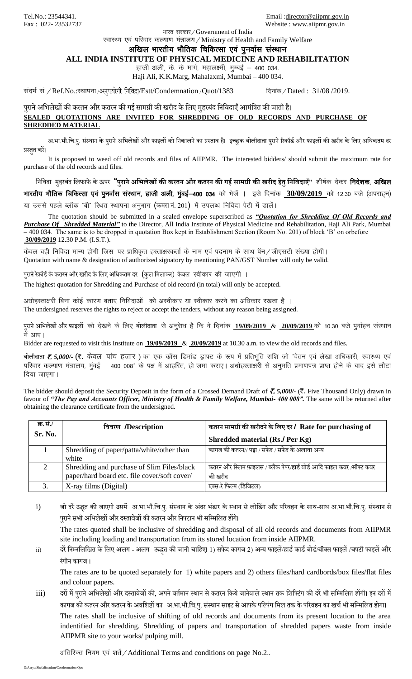**SHREDDED MATERIAL**

भारत सरकार / Government of India

रवास्थ्य एवं परिवार कल्याण मंत्रालय / Ministry of Health and Family Welfare

अखिल भारतीय भौतिक चिकित्सा एवं पुनर्वास संस्थान

**ALL INDIA INSTITUTE OF PHYSICAL MEDICINE AND REHABILITATION**

हाजी अली, के. के मार्ग, महालक्ष्मी, मुम्बई  $-$  400 034.

Haji Ali, K.K.Marg, Mahalaxmi, Mumbai – 400 034.

संदर्भ सं. / Ref.No.:स्थापना /अनुपयोगी निविदा/Estt/Condemnation / Quot/1383 विनांक / Dated : 31/08 /2019.

## पुराने अभिलेखों की करतन और कतरन की गई सामग्री की खरीद के लिए मुहरबंद निविदाएँ आमंत्रित की जाती है। **SEALED QUOTATIONS ARE INVITED FOR SHREDDING OF OLD RECORDS AND PURCHASE OF**

अ.भा.भौ.चि.पु. संस्थान के पुराने अभिलेखों और फाइलों को निकालने का प्रस्ताव है। इच्छुक बोलीदाता पुराने रिकॉर्ड और फाइलों की खरीद के लिए अधिकतम दर प्रस्तुत करें।

It is proposed to weed off old records and files of AIIPMR. The interested bidders/ should submit the maximum rate for purchase of the old records and files.

भनभिदा मुहरबंद भलफाफेकेऊपर **"पुरानेअभिलेखों की करतन और कतरन की गई सामग्री की खरीद हेतुभनभिदाए"ँ** "kh'k Zd nsdj funs"kd] vf[ky भारतीय भौतिक चिकित्सा एवं पुनर्वास संस्थान, हाजी अली, मुंबई-400 034 को भेजें । इसे दिनांक 30/09/2019 को 12.30 बजे (अपराहन) या उससे पहले ब्लॉक "बी" स्थित स्थापना अनुभाग (कमरा नं. 201) में उपलब्ध निविदा पेटी में डालें।

The quotation should be submitted in a sealed envelope superscribed as *"Quotation for Shredding Of Old Records and Purchase Of Shredded Material"* to the Director, All India Institute of Physical Medicine and Rehabilitation, Haji Ali Park, Mumbai – 400 034. The same is to be dropped in quotation Box kept in Establishment Section (Room No. 201) of block 'B' on orbefore **30/09/2019** 12.30 P.M. (I.S.T.).

केवल वही निविदा मान्य होगी जिस पर प्राधिकृत हस्ताक्षरकर्ता के नाम एवं पदनाम के साथ पॅन / जीएसटी संख्या होगी। Quotation with name & designation of authorized signatory by mentioning PAN/GST Number will only be valid.

पुराने रेकॉर्ड के कतरन और खरीद के लिए अधिकतम दर (कुल मिलाकर) केवल स्वीकार की जाएगी ।

The highest quotation for Shredding and Purchase of old record (in total) will only be accepted.

अधोहस्ताक्षरी बिना कोई कारण बताए निविदाओं को अस्वीकार या स्वीकार करने का अधिकार रखता है ।

The undersigned reserves the rights to reject or accept the tenders, without any reason being assigned.

पुराने अभिलेखों और फाइलों को देखने के लिए बोलीदाता से अनुरेाध है कि वे दिनांक 19/09/2019 & 20/09/2019 को 10.30 बजे पूर्वाहन संस्थान में आए।

Bidder are requested to visit this Institute on **19/09/2019** & **20/09/2019** at 10.30 a.m. to view the old records and files.

बोलीदाता **₹. 5,000/- (₹.** केवल पांच हजार) का एक कॉस डिमांड ड्राफ्ट के रूप में प्रतिभूति राशि जो "वेतन एवं लेखा अधिकारी, स्वास्थ्य एवं परिवार कल्याण मंत्रालय, मुंबई — 400 008" के पक्ष में आहरित, हो जमा कराए। अधोहस्ताक्षरी से अनुमति प्रमाणपत्र प्राप्त होने के बाद इसे लौटा दिया जाएगा।

The bidder should deposit the Security Deposit in the form of a Crossed Demand Draft of  $\bar{\mathcal{F}}$ , 5,000/- ( $\bar{\mathcal{F}}$ . Five Thousand Only) drawn in favour of *"The Pay and Accounts Officer, Ministry of Health & Family Welfare, Mumbai- 400 008".* The same will be returned after obtaining the clearance certificate from the undersigned.

| क्र. सं./ | विवरण /Description                                                                         | कतरन सामग्री की खरीदने के लिए दर / Rate for purchasing of                        |
|-----------|--------------------------------------------------------------------------------------------|----------------------------------------------------------------------------------|
| Sr. No.   |                                                                                            | Shredded material (Rs./ Per Kg)                                                  |
|           | Shredding of paper/patta/white/other than<br>white                                         | कागज की कतरन// पट्टा / सफेद / सफेद के अलावा अन्य                                 |
| $\gamma$  | Shredding and purchase of Slim Files/black<br>paper/hard board etc. file cover/soft cover/ | कतरन और स्लिम फ़ाइलस / ब्लैक पेपर/हार्ड बोर्ड आदि फाइल कवर /सॉफ्ट कवर<br>की खरीद |
|           | X-ray films (Digital)                                                                      | एक्स-रे फिल्म (डिजिटल)                                                           |

i) जो दरें उद्धृत की जाएगी उसमें अ.भा.भौ.चि.पु. संस्थान के अंदर भंडार के स्थान से लोडिंग और परिवहन के साथ-साथ अ.भा.भौ.चि.पु. संस्थान से पुराने सभी अभिलेखों और दस्तावेजों की कतरन और निपटान भी सम्मिलित होंगे।

The rates quoted shall be inclusive of shredding and disposal of all old records and documents from AIIPMR site including loading and transportation from its stored location from inside AIIPMR.

ii) दरें निम्नलिखित के लिए अलग - अलग ऊद्धत की जानी चाहिए। 1) सफेद कागज 2) अन्य फाइलें/हार्ड कार्ड बोर्ड/बॉक्स फाइलें /चपटी फाइलें और रंगीन कागज ।

The rates are to be quoted separately for 1) white papers and 2) others files/hard cardbords/box files/flat files and colour papers.

iii) दरों में पुराने अभिलेखों और दस्तावेजों की, अपने वर्तमान स्थान से कतरन किये जानेवाले स्थान तक शिफ्टिंग की दरें भी सम्मिलित होंगी। इन दरों में कागज की कतरन और कतरन के अवशिष्टों का अ.भा.भौ.चि.पु. संस्थान साइट से आपके पल्पिंग मिल तक के परिवहन का खर्च भी सम्मिलित होगा।

The rates shall be inclusive of shifting of old records and documents from its present location to the area indentified for shredding. Shredding of papers and transportation of shredded papers waste from inside AIIPMR site to your works/ pulping mill.

अतिरिक्त नियम एवं शर्ते / Additional Terms and conditions on page No.2..